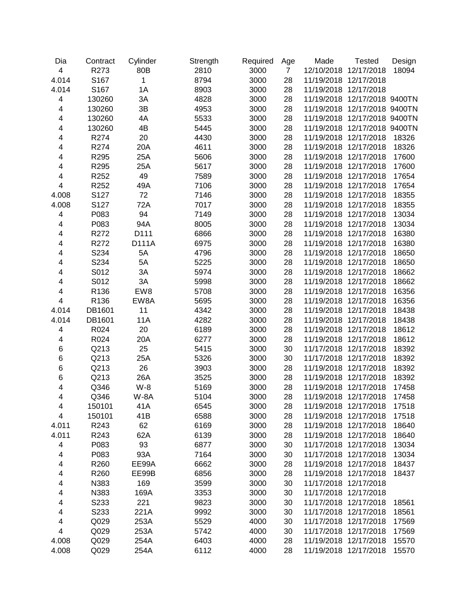| Dia   | Contract | Cylinder | Strength | Required | Age            | Made                  | <b>Tested</b>                | Design |
|-------|----------|----------|----------|----------|----------------|-----------------------|------------------------------|--------|
| 4     | R273     | 80B      | 2810     | 3000     | $\overline{7}$ | 12/10/2018            | 12/17/2018                   | 18094  |
| 4.014 | S167     | 1        | 8794     | 3000     | 28             | 11/19/2018 12/17/2018 |                              |        |
| 4.014 | S167     | 1A       | 8903     | 3000     | 28             | 11/19/2018 12/17/2018 |                              |        |
| 4     | 130260   | 3A       | 4828     | 3000     | 28             | 11/19/2018            | 12/17/2018 9400TN            |        |
| 4     | 130260   | 3B       | 4953     | 3000     | 28             | 11/19/2018            | 12/17/2018 9400TN            |        |
| 4     | 130260   | 4A       | 5533     | 3000     | 28             |                       | 11/19/2018 12/17/2018 9400TN |        |
| 4     | 130260   | 4B       | 5445     | 3000     | 28             |                       | 11/19/2018 12/17/2018 9400TN |        |
| 4     | R274     | 20       | 4430     | 3000     | 28             | 11/19/2018 12/17/2018 |                              | 18326  |
| 4     | R274     | 20A      | 4611     | 3000     | 28             | 11/19/2018 12/17/2018 |                              | 18326  |
| 4     | R295     | 25A      | 5606     | 3000     | 28             | 11/19/2018 12/17/2018 |                              | 17600  |
| 4     | R295     | 25A      | 5617     | 3000     | 28             | 11/19/2018 12/17/2018 |                              | 17600  |
| 4     | R252     | 49       | 7589     | 3000     | 28             | 11/19/2018 12/17/2018 |                              | 17654  |
| 4     | R252     | 49A      | 7106     | 3000     | 28             | 11/19/2018 12/17/2018 |                              | 17654  |
| 4.008 | S127     | 72       | 7146     | 3000     | 28             | 11/19/2018 12/17/2018 |                              | 18355  |
| 4.008 | S127     | 72A      | 7017     | 3000     | 28             | 11/19/2018 12/17/2018 |                              | 18355  |
| 4     | P083     | 94       | 7149     | 3000     | 28             | 11/19/2018 12/17/2018 |                              | 13034  |
| 4     | P083     | 94A      | 8005     | 3000     | 28             | 11/19/2018 12/17/2018 |                              | 13034  |
| 4     | R272     | D111     | 6866     | 3000     | 28             | 11/19/2018 12/17/2018 |                              | 16380  |
| 4     | R272     | D111A    | 6975     | 3000     | 28             | 11/19/2018 12/17/2018 |                              | 16380  |
| 4     | S234     | 5A       | 4796     | 3000     | 28             | 11/19/2018 12/17/2018 |                              | 18650  |
| 4     | S234     | 5A       | 5225     | 3000     | 28             | 11/19/2018 12/17/2018 |                              | 18650  |
| 4     | S012     | 3A       | 5974     | 3000     | 28             | 11/19/2018 12/17/2018 |                              | 18662  |
| 4     | S012     | 3A       | 5998     | 3000     | 28             | 11/19/2018 12/17/2018 |                              | 18662  |
| 4     | R136     | EW8      | 5708     | 3000     | 28             | 11/19/2018 12/17/2018 |                              | 16356  |
| 4     | R136     | EW8A     | 5695     | 3000     | 28             | 11/19/2018 12/17/2018 |                              | 16356  |
| 4.014 | DB1601   | 11       | 4342     | 3000     | 28             | 11/19/2018 12/17/2018 |                              | 18438  |
| 4.014 | DB1601   | 11A      | 4282     | 3000     | 28             | 11/19/2018 12/17/2018 |                              | 18438  |
| 4     | R024     | 20       | 6189     | 3000     | 28             | 11/19/2018 12/17/2018 |                              | 18612  |
| 4     | R024     | 20A      | 6277     | 3000     | 28             | 11/19/2018 12/17/2018 |                              | 18612  |
| 6     | Q213     | 25       | 5415     | 3000     | 30             | 11/17/2018 12/17/2018 |                              | 18392  |
| 6     | Q213     | 25A      | 5326     | 3000     | 30             | 11/17/2018 12/17/2018 |                              | 18392  |
| 6     | Q213     | 26       | 3903     | 3000     | 28             | 11/19/2018 12/17/2018 |                              | 18392  |
| 6     | Q213     | 26A      | 3525     | 3000     | 28             | 11/19/2018 12/17/2018 |                              | 18392  |
| 4     | Q346     | $W-8$    | 5169     | 3000     | 28             | 11/19/2018 12/17/2018 |                              | 17458  |
| 4     | Q346     | W-8A     | 5104     | 3000     | 28             | 11/19/2018 12/17/2018 |                              | 17458  |
| 4     | 150101   | 41A      | 6545     | 3000     | 28             | 11/19/2018 12/17/2018 |                              | 17518  |
| 4     | 150101   | 41B      | 6588     | 3000     | 28             | 11/19/2018 12/17/2018 |                              | 17518  |
| 4.011 | R243     | 62       | 6169     | 3000     | 28             | 11/19/2018 12/17/2018 |                              | 18640  |
| 4.011 | R243     | 62A      | 6139     | 3000     | 28             | 11/19/2018 12/17/2018 |                              | 18640  |
| 4     | P083     | 93       | 6877     | 3000     | 30             | 11/17/2018 12/17/2018 |                              | 13034  |
| 4     | P083     | 93A      | 7164     | 3000     | 30             | 11/17/2018 12/17/2018 |                              | 13034  |
| 4     | R260     | EE99A    | 6662     | 3000     | 28             | 11/19/2018 12/17/2018 |                              | 18437  |
| 4     | R260     | EE99B    | 6856     | 3000     | 28             | 11/19/2018 12/17/2018 |                              | 18437  |
| 4     | N383     | 169      | 3599     | 3000     | 30             | 11/17/2018 12/17/2018 |                              |        |
| 4     | N383     | 169A     | 3353     | 3000     | 30             | 11/17/2018 12/17/2018 |                              |        |
| 4     | S233     | 221      | 9823     | 3000     | 30             | 11/17/2018 12/17/2018 |                              | 18561  |
| 4     | S233     | 221A     | 9992     | 3000     | 30             | 11/17/2018 12/17/2018 |                              | 18561  |
| 4     | Q029     | 253A     | 5529     | 4000     | 30             | 11/17/2018 12/17/2018 |                              | 17569  |
| 4     | Q029     | 253A     | 5742     | 4000     | 30             | 11/17/2018 12/17/2018 |                              | 17569  |
| 4.008 | Q029     | 254A     | 6403     | 4000     | 28             | 11/19/2018 12/17/2018 |                              | 15570  |
| 4.008 | Q029     | 254A     | 6112     | 4000     | 28             | 11/19/2018 12/17/2018 |                              | 15570  |
|       |          |          |          |          |                |                       |                              |        |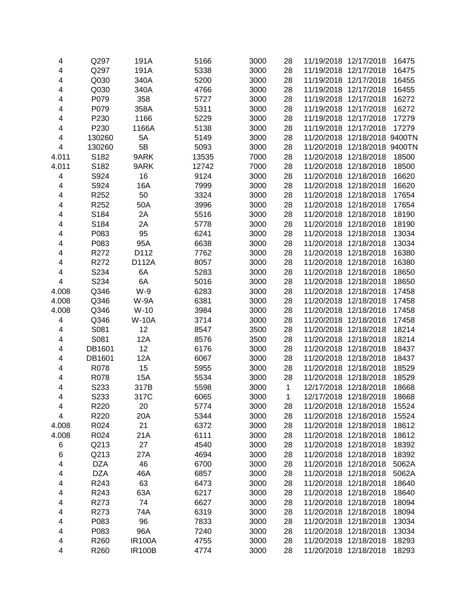| 4                                                  | Q297       | 191A          | 5166  | 3000 | 28 | 11/19/2018 12/17/2018 |                              | 16475          |
|----------------------------------------------------|------------|---------------|-------|------|----|-----------------------|------------------------------|----------------|
| $\overline{\mathbf{4}}$                            | Q297       | 191A          | 5338  | 3000 | 28 | 11/19/2018            | 12/17/2018                   | 16475          |
| $\overline{\mathbf{4}}$                            | Q030       | 340A          | 5200  | 3000 | 28 | 11/19/2018            | 12/17/2018                   | 16455          |
| 4                                                  | Q030       | 340A          | 4766  | 3000 | 28 | 11/19/2018            | 12/17/2018                   | 16455          |
| 4                                                  | P079       | 358           | 5727  | 3000 | 28 | 11/19/2018            | 12/17/2018                   | 16272          |
| 4                                                  | P079       | 358A          | 5311  | 3000 | 28 | 11/19/2018 12/17/2018 |                              | 16272          |
| 4                                                  | P230       | 1166          | 5229  | 3000 | 28 | 11/19/2018 12/17/2018 |                              | 17279          |
| 4                                                  | P230       | 1166A         | 5138  | 3000 | 28 | 11/19/2018 12/17/2018 |                              | 17279          |
| 4                                                  | 130260     | 5A            | 5149  | 3000 | 28 |                       | 11/20/2018 12/18/2018 9400TN |                |
| $\overline{\mathbf{4}}$                            | 130260     | 5B            | 5093  | 3000 | 28 |                       | 11/20/2018 12/18/2018 9400TN |                |
| 4.011                                              | S182       | 9ARK          | 13535 | 7000 | 28 | 11/20/2018 12/18/2018 |                              | 18500          |
| 4.011                                              | S182       | 9ARK          | 12742 | 7000 | 28 | 11/20/2018 12/18/2018 |                              | 18500          |
| 4                                                  | S924       | 16            | 9124  | 3000 | 28 | 11/20/2018 12/18/2018 |                              | 16620          |
| 4                                                  | S924       | 16A           | 7999  | 3000 | 28 | 11/20/2018 12/18/2018 |                              | 16620          |
| $\overline{\mathbf{4}}$                            | R252       | 50            | 3324  | 3000 | 28 | 11/20/2018 12/18/2018 |                              | 17654          |
| $\overline{\mathbf{4}}$                            | R252       | 50A           | 3996  | 3000 | 28 | 11/20/2018 12/18/2018 |                              | 17654          |
| $\overline{\mathbf{4}}$                            | S184       | 2A            | 5516  | 3000 | 28 | 11/20/2018 12/18/2018 |                              | 18190          |
| $\overline{\mathbf{4}}$                            | S184       | 2A            | 5778  | 3000 | 28 | 11/20/2018            | 12/18/2018                   | 18190          |
| $\overline{\mathbf{4}}$                            | P083       | 95            | 6241  | 3000 | 28 | 11/20/2018            | 12/18/2018                   | 13034          |
| $\overline{\mathbf{4}}$                            | P083       | 95A           | 6638  | 3000 | 28 | 11/20/2018            | 12/18/2018                   | 13034          |
| 4                                                  | R272       | D112          | 7762  | 3000 | 28 | 11/20/2018            | 12/18/2018                   | 16380          |
| 4                                                  | R272       | D112A         | 8057  | 3000 | 28 | 11/20/2018            | 12/18/2018                   | 16380          |
| 4                                                  | S234       | 6A            | 5283  | 3000 | 28 | 11/20/2018            | 12/18/2018                   | 18650          |
| 4                                                  | S234       | 6A            | 5016  | 3000 | 28 | 11/20/2018 12/18/2018 |                              | 18650          |
| 4.008                                              | Q346       | $W-9$         | 6283  | 3000 | 28 | 11/20/2018 12/18/2018 |                              | 17458          |
| 4.008                                              | Q346       | W-9A          | 6381  | 3000 | 28 | 11/20/2018 12/18/2018 |                              | 17458          |
| 4.008                                              | Q346       | $W-10$        | 3984  | 3000 | 28 | 11/20/2018 12/18/2018 |                              | 17458          |
| $\overline{\mathbf{4}}$                            | Q346       | <b>W-10A</b>  | 3714  | 3000 | 28 | 11/20/2018 12/18/2018 |                              | 17458          |
| $\overline{\mathbf{4}}$                            | S081       | 12            | 8547  | 3500 | 28 | 11/20/2018 12/18/2018 |                              | 18214          |
| 4                                                  | S081       | 12A           | 8576  | 3500 | 28 | 11/20/2018 12/18/2018 |                              | 18214          |
| $\overline{\mathbf{4}}$                            | DB1601     | 12            | 6176  | 3000 | 28 | 11/20/2018 12/18/2018 |                              | 18437          |
| 4                                                  | DB1601     | 12A           | 6067  | 3000 | 28 | 11/20/2018 12/18/2018 |                              | 18437          |
| $\overline{\mathbf{4}}$                            | R078       | 15            | 5955  | 3000 | 28 | 11/20/2018            | 12/18/2018                   | 18529          |
| $\overline{\mathbf{4}}$                            | R078       | 15A           | 5534  | 3000 | 28 | 11/20/2018            | 12/18/2018                   | 18529          |
| $\overline{\mathbf{4}}$                            | S233       | 317B          | 5598  | 3000 | 1  | 12/17/2018            | 12/18/2018                   | 18668          |
| $\overline{\mathbf{4}}$                            | S233       | 317C          | 6065  | 3000 | 1  | 12/17/2018 12/18/2018 |                              | 18668          |
| 4                                                  | R220       | 20            | 5774  | 3000 | 28 | 11/20/2018 12/18/2018 |                              | 15524          |
| 4                                                  | R220       | 20A           | 5344  | 3000 | 28 | 11/20/2018            | 12/18/2018                   | 15524          |
| 4.008                                              | R024       | 21            | 6372  | 3000 | 28 | 11/20/2018 12/18/2018 |                              | 18612          |
| 4.008                                              | R024       | 21A           | 6111  | 3000 | 28 | 11/20/2018 12/18/2018 |                              | 18612          |
| 6                                                  | Q213       | 27            | 4540  | 3000 | 28 | 11/20/2018 12/18/2018 |                              | 18392          |
| 6                                                  | Q213       | 27A           | 4694  | 3000 | 28 | 11/20/2018 12/18/2018 |                              | 18392          |
| 4                                                  | <b>DZA</b> | 46            | 6700  | 3000 | 28 | 11/20/2018 12/18/2018 |                              | 5062A          |
| 4                                                  | <b>DZA</b> | 46A           | 6857  | 3000 | 28 | 11/20/2018 12/18/2018 |                              | 5062A          |
| 4                                                  | R243       | 63            | 6473  | 3000 | 28 | 11/20/2018 12/18/2018 |                              | 18640          |
| 4                                                  | R243       | 63A           | 6217  | 3000 | 28 | 11/20/2018 12/18/2018 |                              | 18640          |
|                                                    |            |               |       |      |    | 11/20/2018 12/18/2018 |                              |                |
| 4<br>$\overline{\mathbf{4}}$                       | R273       | 74            | 6627  | 3000 | 28 | 11/20/2018 12/18/2018 |                              | 18094<br>18094 |
|                                                    | R273       | 74A           | 6319  | 3000 | 28 |                       |                              |                |
| 4                                                  | P083       | 96            | 7833  | 3000 | 28 | 11/20/2018 12/18/2018 |                              | 13034          |
| $\overline{\mathbf{4}}$<br>$\overline{\mathbf{4}}$ | P083       | 96A           | 7240  | 3000 | 28 | 11/20/2018            | 12/18/2018                   | 13034          |
|                                                    | R260       | <b>IR100A</b> | 4755  | 3000 | 28 | 11/20/2018 12/18/2018 |                              | 18293          |
| 4                                                  | R260       | <b>IR100B</b> | 4774  | 3000 | 28 | 11/20/2018 12/18/2018 |                              | 18293          |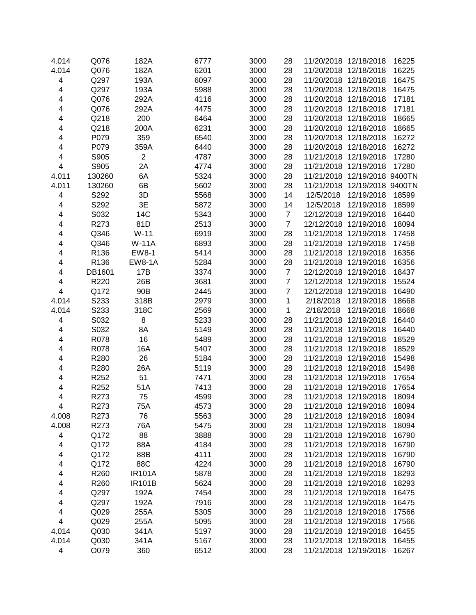| 4.014                   | Q076   | 182A           | 6777 | 3000 | 28             | 11/20/2018 12/18/2018        |                              | 16225 |
|-------------------------|--------|----------------|------|------|----------------|------------------------------|------------------------------|-------|
| 4.014                   | Q076   | 182A           | 6201 | 3000 | 28             | 11/20/2018 12/18/2018        |                              | 16225 |
| 4                       | Q297   | 193A           | 6097 | 3000 | 28             | 11/20/2018 12/18/2018        |                              | 16475 |
| $\overline{\mathbf{4}}$ | Q297   | 193A           | 5988 | 3000 | 28             | 11/20/2018 12/18/2018        |                              | 16475 |
| $\overline{\mathbf{4}}$ | Q076   | 292A           | 4116 | 3000 | 28             | 11/20/2018 12/18/2018        |                              | 17181 |
| 4                       | Q076   | 292A           | 4475 | 3000 | 28             | 11/20/2018 12/18/2018        |                              | 17181 |
| 4                       | Q218   | 200            | 6464 | 3000 | 28             | 11/20/2018 12/18/2018        |                              | 18665 |
| 4                       | Q218   | 200A           | 6231 | 3000 | 28             | 11/20/2018 12/18/2018        |                              | 18665 |
| 4                       | P079   | 359            | 6540 | 3000 | 28             | 11/20/2018 12/18/2018        |                              | 16272 |
| 4                       | P079   | 359A           | 6440 | 3000 | 28             | 11/20/2018 12/18/2018        |                              | 16272 |
| 4                       | S905   | $\overline{2}$ | 4787 | 3000 | 28             | 11/21/2018 12/19/2018        |                              | 17280 |
| 4                       | S905   | 2A             | 4774 | 3000 | 28             | 11/21/2018 12/19/2018        |                              | 17280 |
| 4.011                   | 130260 | 6A             | 5324 | 3000 | 28             | 11/21/2018 12/19/2018 9400TN |                              |       |
| 4.011                   | 130260 | 6B             | 5602 | 3000 | 28             |                              | 11/21/2018 12/19/2018 9400TN |       |
| 4                       | S292   | 3D             | 5568 | 3000 | 14             | 12/5/2018                    | 12/19/2018                   | 18599 |
| 4                       | S292   | 3E             | 5872 | 3000 | 14             | 12/5/2018                    | 12/19/2018                   | 18599 |
| 4                       | S032   | 14C            | 5343 | 3000 | $\overline{7}$ | 12/12/2018 12/19/2018        |                              | 16440 |
| 4                       | R273   | 81D            | 2513 | 3000 | $\overline{7}$ | 12/12/2018 12/19/2018        |                              | 18094 |
| 4                       | Q346   | $W-11$         | 6919 | 3000 | 28             | 11/21/2018 12/19/2018        |                              | 17458 |
| 4                       | Q346   | <b>W-11A</b>   | 6893 | 3000 | 28             | 11/21/2018 12/19/2018        |                              | 17458 |
| 4                       | R136   | EW8-1          | 5414 | 3000 | 28             | 11/21/2018 12/19/2018        |                              | 16356 |
| 4                       | R136   | <b>EW8-1A</b>  | 5284 | 3000 | 28             | 11/21/2018 12/19/2018        |                              | 16356 |
| 4                       | DB1601 | 17B            | 3374 | 3000 | $\overline{7}$ | 12/12/2018 12/19/2018        |                              | 18437 |
| 4                       | R220   | 26B            | 3681 | 3000 | $\overline{7}$ | 12/12/2018 12/19/2018        |                              | 15524 |
| 4                       | Q172   | 90B            | 2445 | 3000 | $\overline{7}$ | 12/12/2018 12/19/2018        |                              | 16490 |
| 4.014                   | S233   | 318B           | 2979 | 3000 | 1              | 2/18/2018                    | 12/19/2018                   | 18668 |
| 4.014                   | S233   | 318C           | 2569 | 3000 | 1              | 2/18/2018                    | 12/19/2018                   | 18668 |
| 4                       | S032   | 8              | 5233 | 3000 | 28             | 11/21/2018 12/19/2018        |                              | 16440 |
| 4                       | S032   | 8A             | 5149 | 3000 | 28             | 11/21/2018 12/19/2018        |                              | 16440 |
| 4                       | R078   | 16             | 5489 | 3000 | 28             | 11/21/2018 12/19/2018        |                              | 18529 |
| 4                       | R078   | 16A            | 5407 | 3000 | 28             | 11/21/2018 12/19/2018        |                              | 18529 |
| 4                       | R280   | 26             | 5184 | 3000 | 28             | 11/21/2018 12/19/2018        |                              | 15498 |
| 4                       | R280   | 26A            | 5119 | 3000 | 28             | 11/21/2018 12/19/2018        |                              | 15498 |
| $\overline{\mathbf{4}}$ | R252   | 51             | 7471 | 3000 | 28             | 11/21/2018 12/19/2018        |                              | 17654 |
| $\overline{\mathbf{4}}$ | R252   | 51A            | 7413 | 3000 | 28             | 11/21/2018 12/19/2018        |                              | 17654 |
| 4                       | R273   | 75             | 4599 | 3000 | 28             | 11/21/2018 12/19/2018        |                              | 18094 |
| 4                       | R273   | 75A            | 4573 | 3000 | 28             | 11/21/2018                   | 12/19/2018                   | 18094 |
| 4.008                   | R273   | 76             | 5563 | 3000 | 28             | 11/21/2018 12/19/2018        |                              | 18094 |
| 4.008                   | R273   | 76A            | 5475 | 3000 | 28             | 11/21/2018 12/19/2018        |                              | 18094 |
| 4                       | Q172   | 88             | 3888 | 3000 | 28             | 11/21/2018 12/19/2018        |                              | 16790 |
| 4                       | Q172   | 88A            | 4184 | 3000 | 28             | 11/21/2018 12/19/2018        |                              | 16790 |
| 4                       | Q172   | 88B            | 4111 | 3000 | 28             | 11/21/2018 12/19/2018        |                              | 16790 |
| 4                       | Q172   | 88C            | 4224 | 3000 | 28             | 11/21/2018 12/19/2018        |                              | 16790 |
| 4                       | R260   | <b>IR101A</b>  | 5878 | 3000 | 28             | 11/21/2018 12/19/2018        |                              | 18293 |
| 4                       | R260   | <b>IR101B</b>  | 5624 | 3000 | 28             | 11/21/2018 12/19/2018        |                              | 18293 |
| 4                       | Q297   | 192A           | 7454 | 3000 | 28             | 11/21/2018 12/19/2018        |                              | 16475 |
| 4                       | Q297   | 192A           | 7916 | 3000 | 28             | 11/21/2018 12/19/2018        |                              | 16475 |
| 4                       | Q029   | 255A           | 5305 | 3000 | 28             | 11/21/2018 12/19/2018        |                              | 17566 |
| 4                       | Q029   | 255A           | 5095 | 3000 | 28             | 11/21/2018 12/19/2018        |                              | 17566 |
| 4.014                   | Q030   | 341A           | 5197 | 3000 | 28             | 11/21/2018 12/19/2018        |                              | 16455 |
| 4.014                   | Q030   | 341A           | 5167 | 3000 | 28             | 11/21/2018 12/19/2018        |                              | 16455 |
| $\overline{\mathbf{4}}$ | O079   | 360            | 6512 | 3000 | 28             | 11/21/2018 12/19/2018        |                              | 16267 |
|                         |        |                |      |      |                |                              |                              |       |